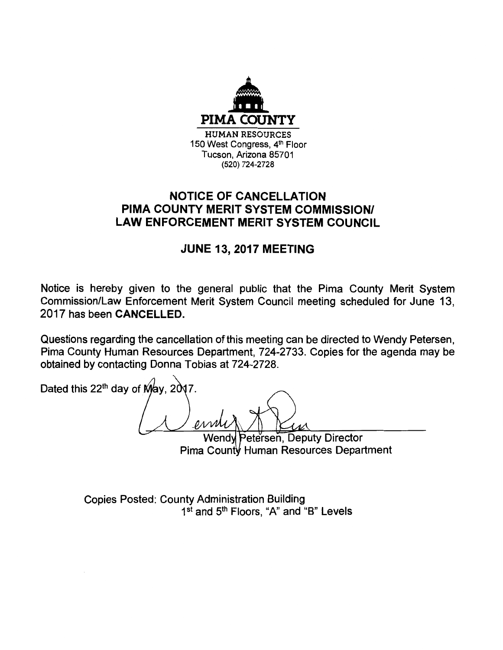

## **NOTICE OF CANCELLATION PIMA COUNTY MERIT SYSTEM COMMISSION/ LAW ENFORCEMENT MERIT SYSTEM COUNCIL**

## **JUNE 13, 2017 MEETING**

Notice is hereby given to the general public that the Pima County Merit System Commission/Law Enforcement Merit System Council meeting scheduled for June 13, 2017 has been **CANCELLED.** 

Questions regarding the cancellation of this meeting can be directed to Wendy Petersen, Pima County Human Resources Department, 724-2733. Copies for the agenda may be obtained by contacting Donna Tobias at 724-2728.

Dated this 22<sup>th</sup> day of May,  $2017$ . Petersen, Deputy Director Wendv

Pima County Human Resources Department

Copies Posted: County Administration Building 1st and 5<sup>th</sup> Floors, "A" and "B" Levels